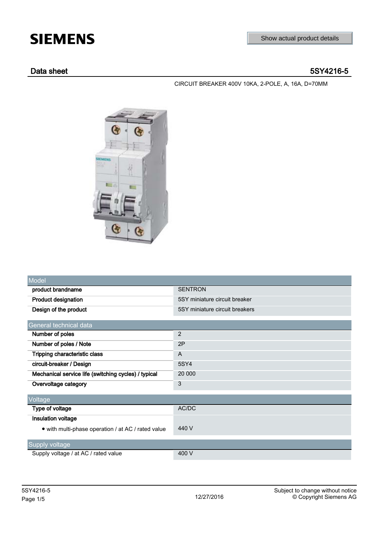# **SIEMENS**

# Data sheet 5SY4216-5

CIRCUIT BREAKER 400V 10KA, 2-POLE, A, 16A, D=70MM



| Model                                                |                                |  |
|------------------------------------------------------|--------------------------------|--|
| product brandname                                    | <b>SENTRON</b>                 |  |
| <b>Product designation</b>                           | 5SY miniature circuit breaker  |  |
| Design of the product                                | 5SY miniature circuit breakers |  |
| General technical data                               |                                |  |
| Number of poles                                      | $\overline{2}$                 |  |
| Number of poles / Note                               | 2P                             |  |
| Tripping characteristic class                        | A                              |  |
| circuit-breaker / Design                             | 5SY4                           |  |
| Mechanical service life (switching cycles) / typical | 20 000                         |  |
| Overvoltage category                                 | 3                              |  |
| Voltage                                              |                                |  |
| Type of voltage                                      | AC/DC                          |  |
| <b>Insulation voltage</b>                            |                                |  |
| • with multi-phase operation / at AC / rated value   | 440 V                          |  |
| Supply voltage                                       |                                |  |
| Supply voltage / at AC / rated value                 | 400 V                          |  |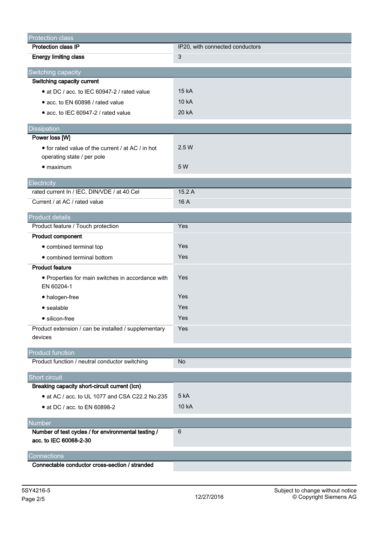| <b>Protection class</b>                              |                                 |
|------------------------------------------------------|---------------------------------|
| <b>Protection class IP</b>                           | IP20, with connected conductors |
| <b>Energy limiting class</b>                         | 3                               |
|                                                      |                                 |
| Switching capacity<br>Switching capacity current     |                                 |
|                                                      | 15 kA                           |
| • at DC / acc. to IEC 60947-2 / rated value          |                                 |
| • acc. to EN 60898 / rated value                     | 10 kA                           |
| • acc. to IEC 60947-2 / rated value                  | 20 kA                           |
| Dissipation                                          |                                 |
| Power loss [W]                                       |                                 |
| • for rated value of the current / at AC / in hot    | 2.5 W                           |
| operating state / per pole                           |                                 |
| $\bullet$ maximum                                    | 5 W                             |
| Electricity                                          |                                 |
| rated current In / IEC, DIN/VDE / at 40 Cel          | 15.2 A                          |
| Current / at AC / rated value                        | 16 A                            |
|                                                      |                                 |
| <b>Product details</b>                               |                                 |
| Product feature / Touch protection                   | Yes                             |
| <b>Product component</b>                             |                                 |
| • combined terminal top                              | Yes                             |
| • combined terminal bottom                           | Yes                             |
| <b>Product feature</b>                               |                                 |
| • Properties for main switches in accordance with    | Yes                             |
| EN 60204-1                                           |                                 |
| • halogen-free                                       | Yes                             |
| • sealable                                           | Yes                             |
| • silicon-free                                       | Yes                             |
| Product extension / can be installed / supplementary | Yes                             |
| devices                                              |                                 |
| <b>Product function</b>                              |                                 |
| Product function / neutral conductor switching       | No                              |
| Short circuit                                        |                                 |
| Breaking capacity short-circuit current (Icn)        |                                 |
| • at AC / acc. to UL 1077 and CSA C22.2 No.235       | 5 kA                            |
| • at DC / acc. to EN 60898-2                         | 10 kA                           |
|                                                      |                                 |
| <b>Number</b>                                        |                                 |
| Number of test cycles / for environmental testing /  | 6                               |
| acc. to IEC 60068-2-30                               |                                 |
| Connections                                          |                                 |
| Connectable conductor cross-section / stranded       |                                 |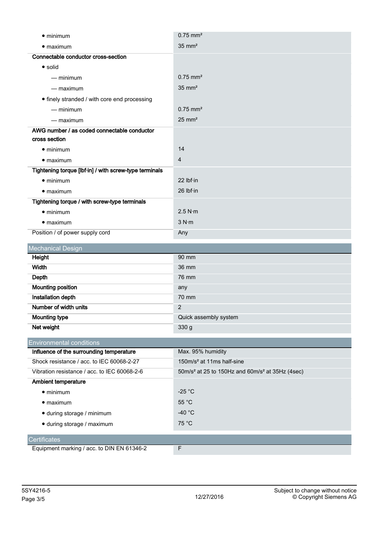| $\bullet$ minimum                                      | $0.75$ mm <sup>2</sup> |
|--------------------------------------------------------|------------------------|
| $\bullet$ maximum                                      | $35 \text{ mm}^2$      |
| Connectable conductor cross-section                    |                        |
| • solid                                                |                        |
| $-$ minimum                                            | $0.75$ mm <sup>2</sup> |
| $-$ maximum                                            | $35$ mm <sup>2</sup>   |
| • finely stranded / with core end processing           |                        |
| $-$ minimum                                            | $0.75$ mm <sup>2</sup> |
| $-$ maximum                                            | $25$ mm <sup>2</sup>   |
| AWG number / as coded connectable conductor            |                        |
| cross section                                          |                        |
| $\bullet$ minimum                                      | 14                     |
| $\bullet$ maximum                                      | $\overline{4}$         |
| Tightening torque [lbf·in] / with screw-type terminals |                        |
| $\bullet$ minimum                                      | 22 lbf·in              |
| $\bullet$ maximum                                      | $26$ lbf $\cdot$ in    |
| Tightening torque / with screw-type terminals          |                        |
| $\bullet$ minimum                                      | 2.5 N·m                |
| $\bullet$ maximum                                      | 3 N·m                  |
| Position / of power supply cord                        | Any                    |

| Mechanical Design        |                       |
|--------------------------|-----------------------|
| Height                   | 90 mm                 |
| Width                    | 36 mm                 |
| Depth                    | 76 mm                 |
| <b>Mounting position</b> | any                   |
| Installation depth       | 70 mm                 |
| Number of width units    | 2                     |
| <b>Mounting type</b>     | Quick assembly system |
| Net weight               | 330 g                 |

| <b>Environmental conditions</b>              |                                                                       |
|----------------------------------------------|-----------------------------------------------------------------------|
| Influence of the surrounding temperature     | Max. 95% humidity                                                     |
| Shock resistance / acc. to IEC 60068-2-27    | 150m/s <sup>2</sup> at 11ms half-sine                                 |
| Vibration resistance / acc. to IEC 60068-2-6 | $50 \text{m/s}^2$ at 25 to 150Hz and $60 \text{m/s}^2$ at 35Hz (4sec) |
| <b>Ambient temperature</b>                   |                                                                       |
| $\bullet$ minimum                            | $-25 °C$                                                              |
| $\bullet$ maximum                            | $55^{\circ}$ C                                                        |
| • during storage / minimum                   | -40 $^{\circ}$ C                                                      |
| • during storage / maximum                   | 75 °C                                                                 |
|                                              |                                                                       |
| <b>Certificates</b>                          |                                                                       |
| Equipment marking / acc. to DIN EN 61346-2   | F                                                                     |